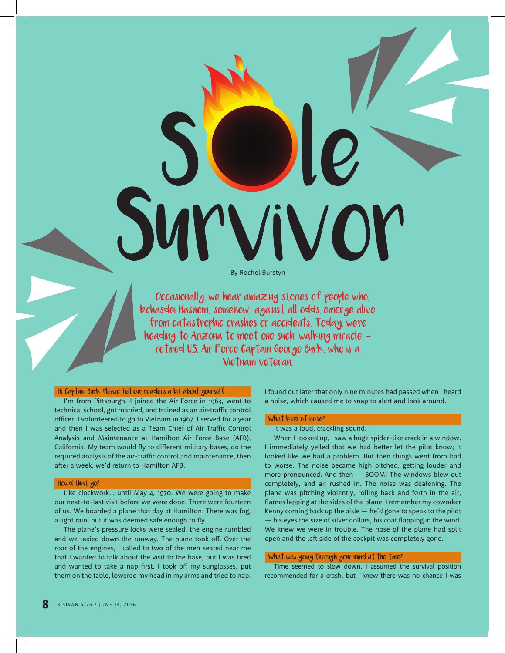**SURVIVOR** By Rochel Burstyn

S le

Occasionally, we hear amazing stories of people who, b'chasdei Hashem, "somehow," against all odds, emerge alive from catastrophic crashes or accidents. Today, were heading to Arizona to meet one such "walking miracle" retired U.S. Air Force Captain George Burk, who is a Vietnam veteran.

### Hi, Captain Burk. Please tell our readers a bit about yourself.

I'm from Pittsburgh. I joined the Air Force in 1963, went to technical school, got married, and trained as an air-traffic control officer. I volunteered to go to Vietnam in 1967. I served for a year and then I was selected as a Team Chief of Air Traffic Control Analysis and Maintenance at Hamilton Air Force Base (AFB), California. My team would fly to different military bases, do the required analysis of the air-traffic control and maintenance, then after a week, we'd return to Hamilton AFB.

### Howd that go?

Like clockwork… until May 4, 1970. We were going to make our next-to-last visit before we were done. There were fourteen of us. We boarded a plane that day at Hamilton. There was fog, a light rain, but it was deemed safe enough to fly.

The plane's pressure locks were sealed, the engine rumbled and we taxied down the runway. The plane took off. Over the roar of the engines, I called to two of the men seated near me that I wanted to talk about the visit to the base, but I was tired and wanted to take a nap first. I took off my sunglasses, put them on the table, lowered my head in my arms and tried to nap. I found out later that only nine minutes had passed when I heard a noise, which caused me to snap to alert and look around.

## What kind of noise?

It was a loud, crackling sound.

When I looked up, I saw a huge spider-like crack in a window. I immediately yelled that we had better let the pilot know; it looked like we had a problem. But then things went from bad to worse. The noise became high pitched, getting louder and more pronounced. And then — BOOM! The windows blew out completely, and air rushed in. The noise was deafening. The plane was pitching violently, rolling back and forth in the air, flames lapping at the sides of the plane. I remember my coworker Kenny coming back up the aisle — he'd gone to speak to the pilot  $-$  his eyes the size of silver dollars, his coat flapping in the wind. We knew we were in trouble. The nose of the plane had split open and the left side of the cockpit was completely gone.

# What was going through your mind at the time?

Time seemed to slow down. I assumed the survival position recommended for a crash, but I knew there was no chance I was